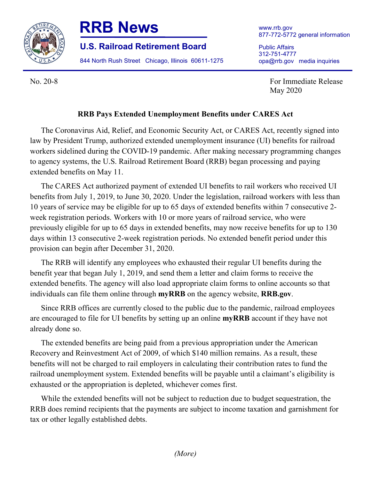



**U.S. Railroad Retirement Board**

844 North Rush Street Chicago, Illinois 60611-1275

www.rrb.gov 877-772-5772 general information

Public Affairs 312-751-4777 opa@rrb.gov media inquiries

No. 20-8 For Immediate Release May 2020

## **RRB Pays Extended Unemployment Benefits under CARES Act**

The Coronavirus Aid, Relief, and Economic Security Act, or CARES Act, recently signed into law by President Trump, authorized extended unemployment insurance (UI) benefits for railroad workers sidelined during the COVID-19 pandemic. After making necessary programming changes to agency systems, the U.S. Railroad Retirement Board (RRB) began processing and paying extended benefits on May 11.

The CARES Act authorized payment of extended UI benefits to rail workers who received UI benefits from July 1, 2019, to June 30, 2020. Under the legislation, railroad workers with less than 10 years of service may be eligible for up to 65 days of extended benefits within 7 consecutive 2 week registration periods. Workers with 10 or more years of railroad service, who were previously eligible for up to 65 days in extended benefits, may now receive benefits for up to 130 days within 13 consecutive 2-week registration periods. No extended benefit period under this provision can begin after December 31, 2020.

The RRB will identify any employees who exhausted their regular UI benefits during the benefit year that began July 1, 2019, and send them a letter and claim forms to receive the extended benefits. The agency will also load appropriate claim forms to online accounts so that individuals can file them online through **myRRB** on the agency website, **RRB.gov**.

Since RRB offices are currently closed to the public due to the pandemic, railroad employees are encouraged to file for UI benefits by setting up an online **myRRB** account if they have not already done so.

The extended benefits are being paid from a previous appropriation under the American Recovery and Reinvestment Act of 2009, of which \$140 million remains. As a result, these benefits will not be charged to rail employers in calculating their contribution rates to fund the railroad unemployment system. Extended benefits will be payable until a claimant's eligibility is exhausted or the appropriation is depleted, whichever comes first.

While the extended benefits will not be subject to reduction due to budget sequestration, the RRB does remind recipients that the payments are subject to income taxation and garnishment for tax or other legally established debts.